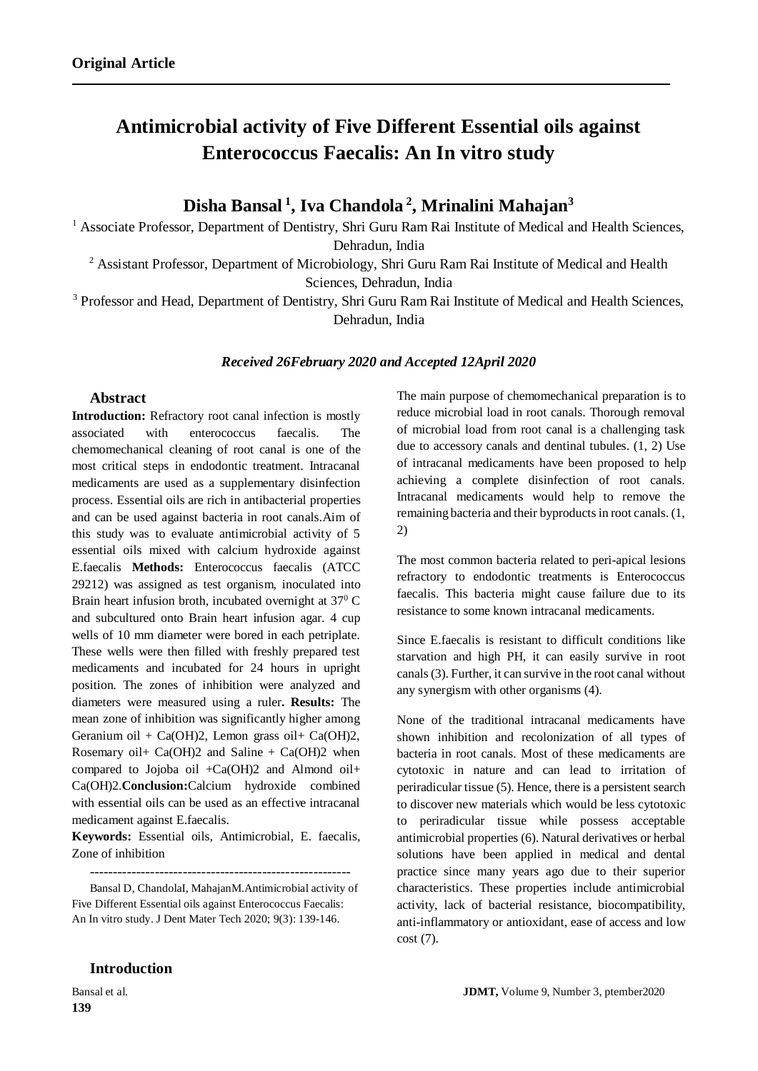# **Antimicrobial activity of Five Different Essential oils against Enterococcus Faecalis: An In vitro study**

**Disha Bansal <sup>1</sup> , Iva Chandola <sup>2</sup> , Mrinalini Mahajan<sup>3</sup>**

<sup>1</sup> Associate Professor, Department of Dentistry, Shri Guru Ram Rai Institute of Medical and Health Sciences,

Dehradun, India

<sup>2</sup> Assistant Professor, Department of Microbiology, Shri Guru Ram Rai Institute of Medical and Health Sciences, Dehradun, India

<sup>3</sup> Professor and Head, Department of Dentistry, Shri Guru Ram Rai Institute of Medical and Health Sciences, Dehradun, India

#### *Received 26February 2020 and Accepted 12April 2020*

# **Abstract**

**Introduction:** Refractory root canal infection is mostly associated with enterococcus faecalis. The chemomechanical cleaning of root canal is one of the most critical steps in endodontic treatment. Intracanal medicaments are used as a supplementary disinfection process. Essential oils are rich in antibacterial properties and can be used against bacteria in root canals.Aim of this study was to evaluate antimicrobial activity of 5 essential oils mixed with calcium hydroxide against E.faecalis **Methods:** Enterococcus faecalis (ATCC 29212) was assigned as test organism, inoculated into Brain heart infusion broth, incubated overnight at  $37^{\circ}$  C and subcultured onto Brain heart infusion agar. 4 cup wells of 10 mm diameter were bored in each petriplate. These wells were then filled with freshly prepared test medicaments and incubated for 24 hours in upright position. The zones of inhibition were analyzed and diameters were measured using a ruler**. Results:** The mean zone of inhibition was significantly higher among Geranium oil + Ca(OH)2, Lemon grass oil + Ca(OH)2, Rosemary oil + Ca(OH)2 and Saline + Ca(OH)2 when compared to Jojoba oil +Ca(OH)2 and Almond oil+ Ca(OH)2.**Conclusion:**Calcium hydroxide combined with essential oils can be used as an effective intracanal medicament against E.faecalis.

**Keywords:** Essential oils, Antimicrobial, E. faecalis, Zone of inhibition

--------------------------------------------------------

Bansal D, ChandolaI, MahajanM.Antimicrobial activity of Five Different Essential oils against Enterococcus Faecalis: An In vitro study. J Dent Mater Tech 2020; 9(3): 139-146.

The main purpose of chemomechanical preparation is to reduce microbial load in root canals. Thorough removal of microbial load from root canal is a challenging task due to accessory canals and dentinal tubules. (1, 2) Use of intracanal medicaments have been proposed to help achieving a complete disinfection of root canals. Intracanal medicaments would help to remove the remaining bacteria and their byproducts in root canals. (1, 2)

The most common bacteria related to peri-apical lesions refractory to endodontic treatments is Enterococcus faecalis. This bacteria might cause failure due to its resistance to some known intracanal medicaments.

Since E.faecalis is resistant to difficult conditions like starvation and high PH, it can easily survive in root canals (3). Further, it can survive in the root canal without any synergism with other organisms (4).

None of the traditional intracanal medicaments have shown inhibition and recolonization of all types of bacteria in root canals. Most of these medicaments are cytotoxic in nature and can lead to irritation of periradicular tissue (5). Hence, there is a persistent search to discover new materials which would be less cytotoxic to periradicular tissue while possess acceptable antimicrobial properties (6). Natural derivatives or herbal solutions have been applied in medical and dental practice since many years ago due to their superior characteristics. These properties include antimicrobial activity, lack of bacterial resistance, biocompatibility, anti-inflammatory or antioxidant, ease of access and low cost (7).

# **Introduction**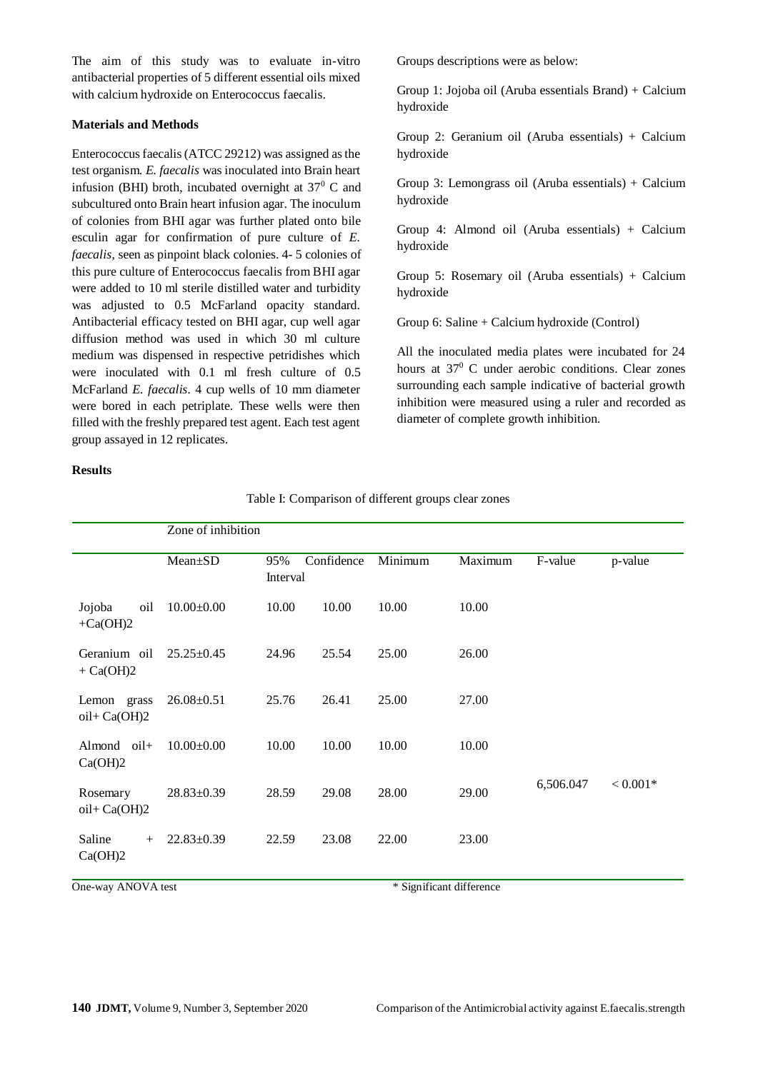The aim of this study was to evaluate in-vitro antibacterial properties of 5 different essential oils mixed with calcium hydroxide on Enterococcus faecalis.

#### **Materials and Methods**

Enterococcus faecalis(ATCC 29212) was assigned as the test organism. *E. faecalis* was inoculated into Brain heart infusion (BHI) broth, incubated overnight at  $37<sup>0</sup>$  C and subcultured onto Brain heart infusion agar. The inoculum of colonies from BHI agar was further plated onto bile esculin agar for confirmation of pure culture of *E. faecalis*, seen as pinpoint black colonies. 4- 5 colonies of this pure culture of Enterococcus faecalis from BHI agar were added to 10 ml sterile distilled water and turbidity was adjusted to 0.5 McFarland opacity standard. Antibacterial efficacy tested on BHI agar, cup well agar diffusion method was used in which 30 ml culture medium was dispensed in respective petridishes which were inoculated with 0.1 ml fresh culture of 0.5 McFarland *E. faecalis*. 4 cup wells of 10 mm diameter were bored in each petriplate. These wells were then filled with the freshly prepared test agent. Each test agent group assayed in 12 replicates.

#### **Results**

Groups descriptions were as below:

Group 1: Jojoba oil (Aruba essentials Brand) + Calcium hydroxide

Group 2: Geranium oil (Aruba essentials) + Calcium hydroxide

Group 3: Lemongrass oil (Aruba essentials) + Calcium hydroxide

Group 4: Almond oil (Aruba essentials) + Calcium hydroxide

Group 5: Rosemary oil (Aruba essentials) + Calcium hydroxide

Group 6: Saline + Calcium hydroxide (Control)

All the inoculated media plates were incubated for 24 hours at 37<sup>0</sup> C under aerobic conditions. Clear zones surrounding each sample indicative of bacterial growth inhibition were measured using a ruler and recorded as diameter of complete growth inhibition.

|                              | Zone of inhibition |                 |            |         |         |           |            |
|------------------------------|--------------------|-----------------|------------|---------|---------|-----------|------------|
|                              | Mean±SD            | 95%<br>Interval | Confidence | Minimum | Maximum | F-value   | p-value    |
| Jojoba<br>oil<br>$+Ca(OH)2$  | $10.00 \pm 0.00$   | 10.00           | 10.00      | 10.00   | 10.00   |           |            |
| Geranium oil<br>$+ Ca(OH)2$  | $25.25 \pm 0.45$   | 24.96           | 25.54      | 25.00   | 26.00   |           |            |
| Lemon grass<br>$oil+Ca(OH)2$ | $26.08 \pm 0.51$   | 25.76           | 26.41      | 25.00   | 27.00   |           |            |
| Almond oil+<br>Ca(OH)2       | $10.00 \pm 0.00$   | 10.00           | 10.00      | 10.00   | 10.00   |           |            |
| Rosemary<br>$oil+Ca(OH)2$    | $28.83 \pm 0.39$   | 28.59           | 29.08      | 28.00   | 29.00   | 6,506.047 | $< 0.001*$ |
| Saline<br>$+$<br>Ca(OH)2     | $22.83 \pm 0.39$   | 22.59           | 23.08      | 22.00   | 23.00   |           |            |

Table I: Comparison of different groups clear zones

One-way ANOVA test \* Significant difference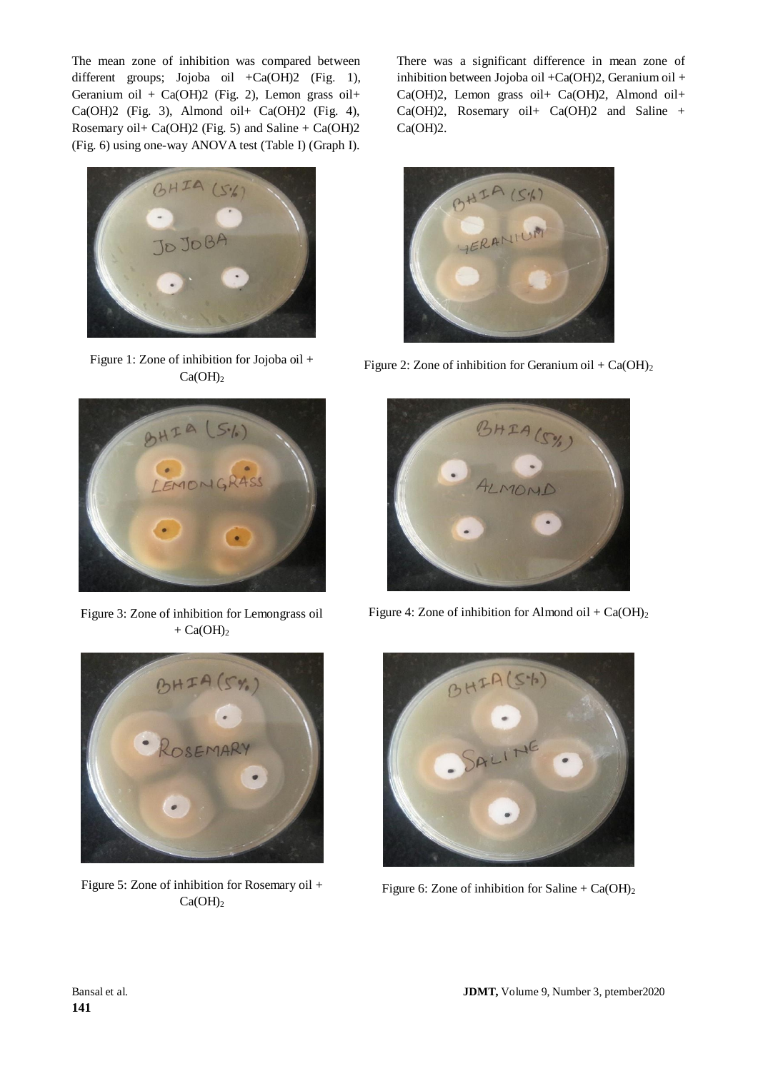The mean zone of inhibition was compared between different groups; Jojoba oil  $+Ca(OH)2$  (Fig. 1), Geranium oil + Ca(OH)2 (Fig. 2), Lemon grass oil+ Ca(OH)2 (Fig. 3), Almond oil+ Ca(OH)2 (Fig. 4), Rosemary oil+ Ca(OH)2 (Fig. 5) and Saline + Ca(OH)2 (Fig. 6) using one-way ANOVA test (Table I) (Graph I).



Figure 1: Zone of inhibition for Jojoba oil +  $Ca(OH)<sub>2</sub>$ 



Figure 3: Zone of inhibition for Lemongrass oil  $+ Ca(OH)_2$ 

There was a significant difference in mean zone of inhibition between Jojoba oil +Ca(OH)2, Geranium oil + Ca(OH)2, Lemon grass oil+ Ca(OH)2, Almond oil+ Ca(OH)2, Rosemary oil+ Ca(OH)2 and Saline + Ca(OH)2.



Figure 2: Zone of inhibition for Geranium oil +  $Ca(OH)_2$ 



Figure 4: Zone of inhibition for Almond oil +  $Ca(OH)_2$ 



Figure 5: Zone of inhibition for Rosemary oil +  $Ca(OH)<sub>2</sub>$ 



Figure 6: Zone of inhibition for Saline +  $Ca(OH)_2$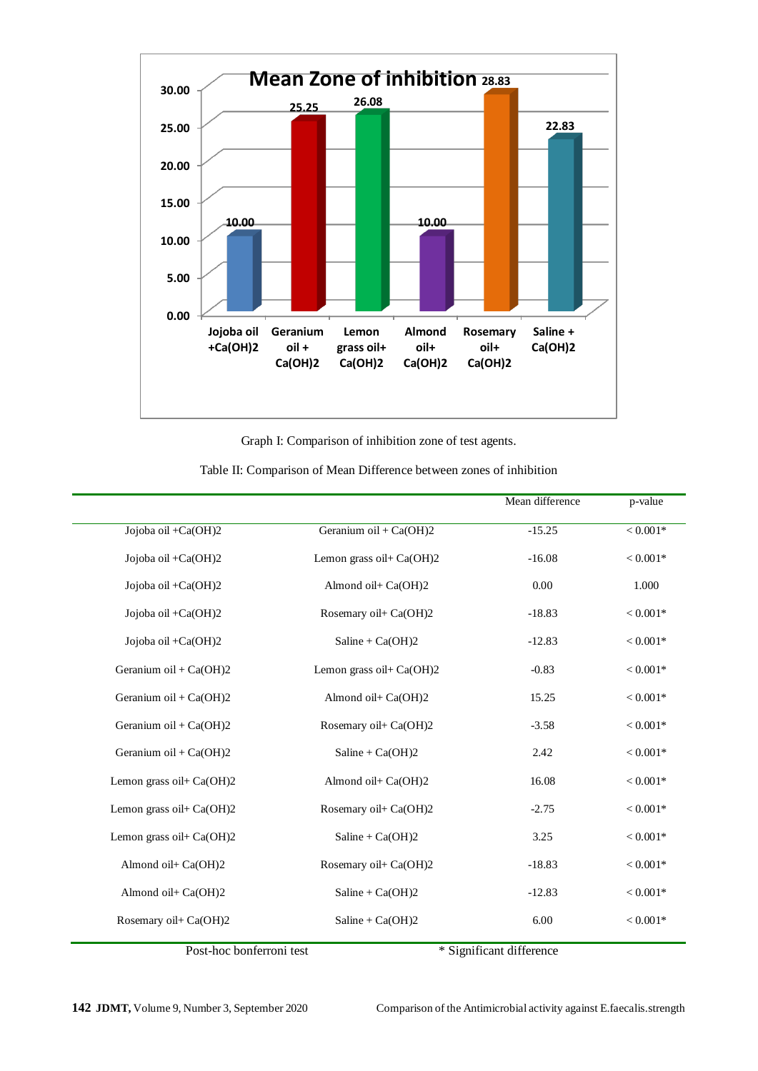

Graph I: Comparison of inhibition zone of test agents.

|                             |                          | Mean difference | p-value    |
|-----------------------------|--------------------------|-----------------|------------|
| Jojoba oil +Ca(OH)2         | Geranium oil + $Ca(OH)2$ | $-15.25$        | $< 0.001*$ |
| Jojoba oil +Ca(OH)2         | Lemon grass oil+ Ca(OH)2 | $-16.08$        | $< 0.001*$ |
| Jojoba oil +Ca(OH)2         | Almond oil+ Ca(OH)2      | 0.00            | 1.000      |
| Jojoba oil + $Ca(OH)2$      | Rosemary oil+ Ca(OH)2    | $-18.83$        | $< 0.001*$ |
| Jojoba oil + $Ca(OH)2$      | $Saline + Ca(OH)2$       | $-12.83$        | $< 0.001*$ |
| Geranium oil + Ca(OH)2      | Lemon grass oil+ Ca(OH)2 | $-0.83$         | $< 0.001*$ |
| Geranium oil + Ca(OH)2      | Almond oil+ Ca(OH)2      | 15.25           | $< 0.001*$ |
| Geranium oil + Ca(OH)2      | Rosemary oil+ Ca(OH)2    | $-3.58$         | $< 0.001*$ |
| Geranium oil + Ca(OH)2      | $Saline + Ca(OH)2$       | 2.42            | $< 0.001*$ |
| Lemon grass oil+ Ca(OH)2    | Almond oil+ Ca(OH)2      | 16.08           | $< 0.001*$ |
| Lemon grass oil + $Ca(OH)2$ | Rosemary oil+ Ca(OH)2    | $-2.75$         | $< 0.001*$ |
| Lemon grass oil+ Ca(OH)2    | $Saline + Ca(OH)2$       | 3.25            | $< 0.001*$ |
| Almond oil+ Ca(OH)2         | Rosemary oil+ Ca(OH)2    | $-18.83$        | $< 0.001*$ |
| Almond oil+ Ca(OH)2         | Saline + $Ca(OH)2$       | $-12.83$        | $< 0.001*$ |
| Rosemary oil+ Ca(OH)2       | $Saline + Ca(OH)2$       | 6.00            | $< 0.001*$ |
|                             |                          |                 |            |

Table II: Comparison of Mean Difference between zones of inhibition

Post-hoc bonferroni test \* Significant difference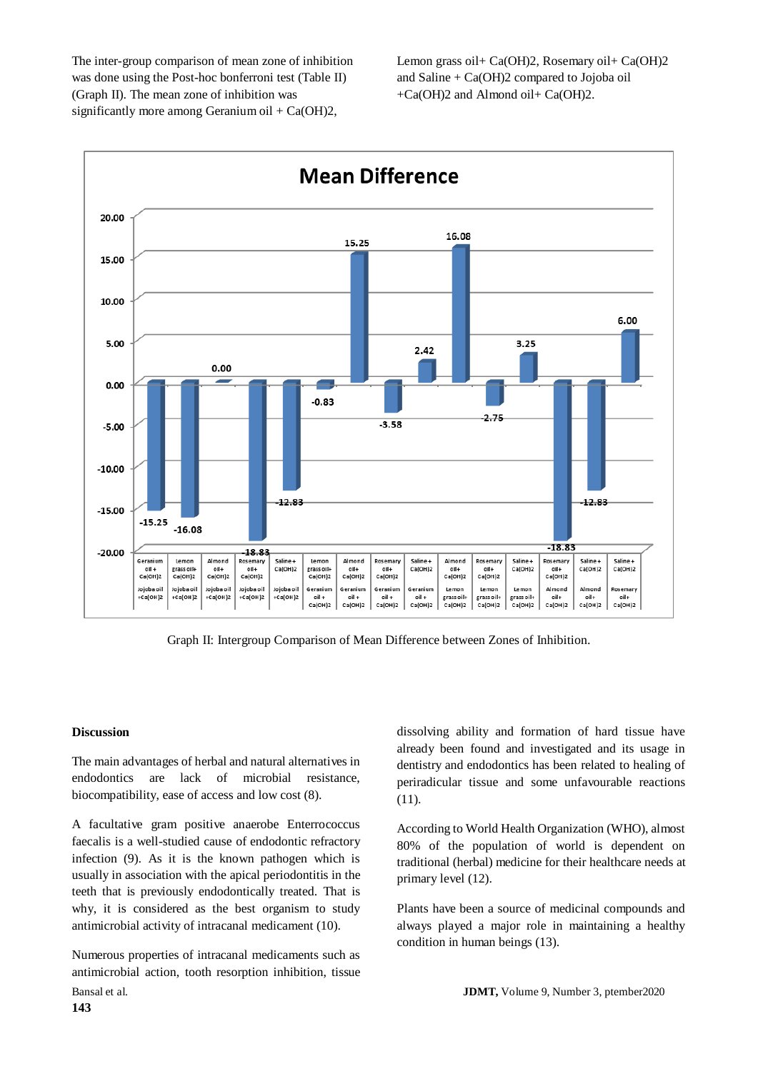The inter-group comparison of mean zone of inhibition was done using the Post-hoc bonferroni test (Table II) (Graph II). The mean zone of inhibition was significantly more among Geranium oil + Ca(OH)2,

Lemon grass oil+ Ca(OH)2, Rosemary oil+ Ca(OH)2 and Saline  $+ Ca(OH)2$  compared to Jojoba oil +Ca(OH)2 and Almond oil+ Ca(OH)2.



Graph II: Intergroup Comparison of Mean Difference between Zones of Inhibition.

#### **Discussion**

The main advantages of herbal and natural alternatives in endodontics are lack of microbial resistance, biocompatibility, ease of access and low cost (8).

A facultative gram positive anaerobe Enterrococcus faecalis is a well-studied cause of endodontic refractory infection (9). As it is the known pathogen which is usually in association with the apical periodontitis in the teeth that is previously endodontically treated. That is why, it is considered as the best organism to study antimicrobial activity of intracanal medicament (10).

Bansal et al. **JDMT,** Volume 9, Number 3, ptember2020 Numerous properties of intracanal medicaments such as antimicrobial action, tooth resorption inhibition, tissue

dissolving ability and formation of hard tissue have already been found and investigated and its usage in dentistry and endodontics has been related to healing of periradicular tissue and some unfavourable reactions (11).

According to World Health Organization (WHO), almost 80% of the population of world is dependent on traditional (herbal) medicine for their healthcare needs at primary level (12).

Plants have been a source of medicinal compounds and always played a major role in maintaining a healthy condition in human beings (13).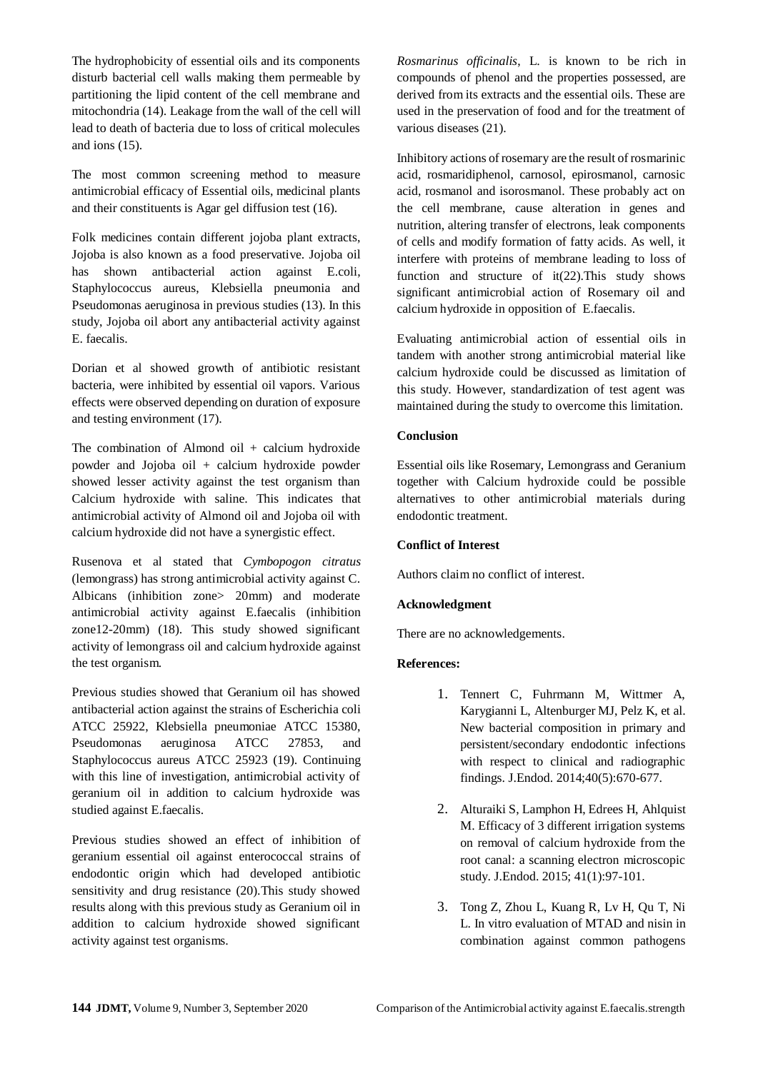The hydrophobicity of essential oils and its components disturb bacterial cell walls making them permeable by partitioning the lipid content of the cell membrane and mitochondria (14). Leakage from the wall of the cell will lead to death of bacteria due to loss of critical molecules and ions (15).

The most common screening method to measure antimicrobial efficacy of Essential oils, medicinal plants and their constituents is Agar gel diffusion test (16).

Folk medicines contain different jojoba plant extracts, Jojoba is also known as a food preservative. Jojoba oil has shown antibacterial action against E.coli, Staphylococcus aureus, Klebsiella pneumonia and Pseudomonas aeruginosa in previous studies (13). In this study, Jojoba oil abort any antibacterial activity against E. faecalis.

Dorian et al showed growth of antibiotic resistant bacteria, were inhibited by essential oil vapors. Various effects were observed depending on duration of exposure and testing environment (17).

The combination of Almond oil  $+$  calcium hydroxide powder and Jojoba oil + calcium hydroxide powder showed lesser activity against the test organism than Calcium hydroxide with saline. This indicates that antimicrobial activity of Almond oil and Jojoba oil with calcium hydroxide did not have a synergistic effect.

Rusenova et al stated that *Cymbopogon citratus*  (lemongrass) has strong antimicrobial activity against C. Albicans (inhibition zone> 20mm) and moderate antimicrobial activity against E.faecalis (inhibition zone12-20mm) (18). This study showed significant activity of lemongrass oil and calcium hydroxide against the test organism.

Previous studies showed that Geranium oil has showed antibacterial action against the strains of Escherichia coli ATCC 25922, Klebsiella pneumoniae ATCC 15380, Pseudomonas aeruginosa ATCC 27853, and Staphylococcus aureus ATCC 25923 (19). Continuing with this line of investigation, antimicrobial activity of geranium oil in addition to calcium hydroxide was studied against E.faecalis.

Previous studies showed an effect of inhibition of geranium essential oil against enterococcal strains of endodontic origin which had developed antibiotic sensitivity and drug resistance (20).This study showed results along with this previous study as Geranium oil in addition to calcium hydroxide showed significant activity against test organisms.

*Rosmarinus officinalis*, L. is known to be rich in compounds of phenol and the properties possessed, are derived from its extracts and the essential oils. These are used in the preservation of food and for the treatment of various diseases (21).

Inhibitory actions of rosemary are the result of rosmarinic acid, rosmaridiphenol, carnosol, epirosmanol, carnosic acid, rosmanol and isorosmanol. These probably act on the cell membrane, cause alteration in genes and nutrition, altering transfer of electrons, leak components of cells and modify formation of fatty acids. As well, it interfere with proteins of membrane leading to loss of function and structure of it(22).This study shows significant antimicrobial action of Rosemary oil and calcium hydroxide in opposition of E.faecalis.

Evaluating antimicrobial action of essential oils in tandem with another strong antimicrobial material like calcium hydroxide could be discussed as limitation of this study. However, standardization of test agent was maintained during the study to overcome this limitation.

# **Conclusion**

Essential oils like Rosemary, Lemongrass and Geranium together with Calcium hydroxide could be possible alternatives to other antimicrobial materials during endodontic treatment.

# **Conflict of Interest**

Authors claim no conflict of interest.

# **Acknowledgment**

There are no acknowledgements.

# **References:**

- 1. Tennert C, Fuhrmann M, Wittmer A, Karygianni L, Altenburger MJ, Pelz K, et al. New bacterial composition in primary and persistent/secondary endodontic infections with respect to clinical and radiographic findings. J.Endod. 2014;40(5):670-677.
- 2. Alturaiki S, Lamphon H, Edrees H, Ahlquist M. Efficacy of 3 different irrigation systems on removal of calcium hydroxide from the root canal: a scanning electron microscopic study. J.Endod. 2015; 41(1):97-101.
- 3. Tong Z, Zhou L, Kuang R, Lv H, Qu T, Ni L. In vitro evaluation of MTAD and nisin in combination against common pathogens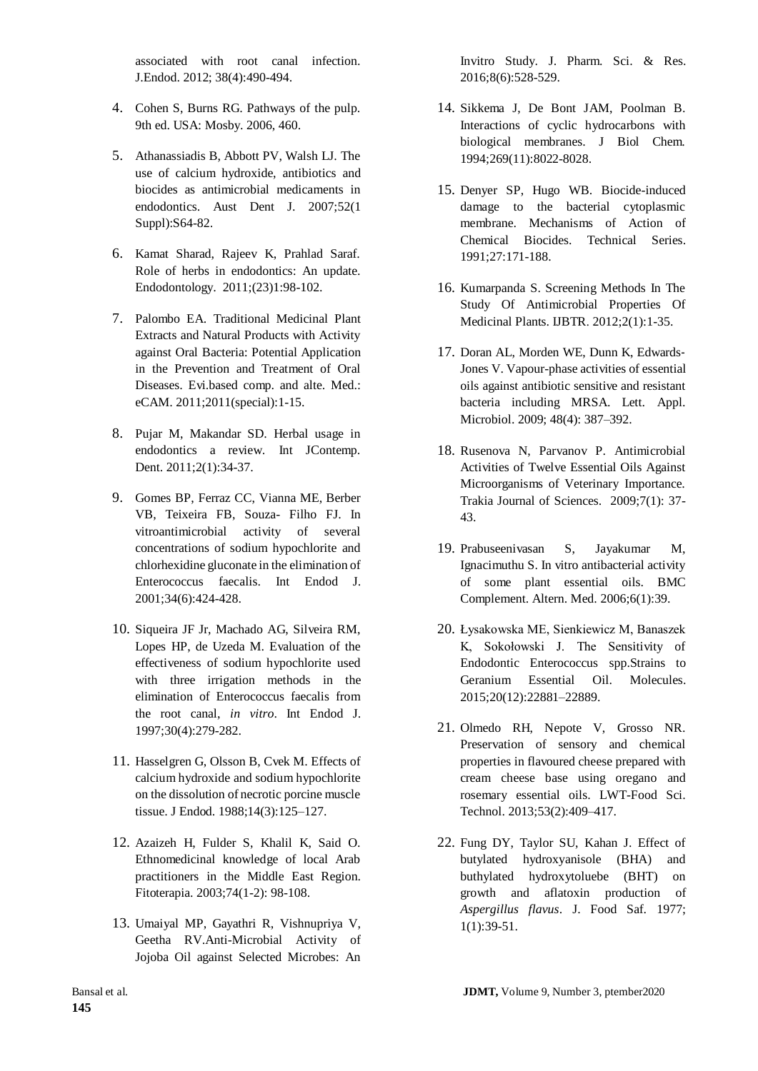associated with root canal infection. J.Endod. 2012; 38(4):490-494.

- 4. Cohen S, Burns RG. Pathways of the pulp. 9th ed. USA: Mosby. 2006, 460.
- 5. Athanassiadis B, Abbott PV, Walsh LJ. The use of calcium hydroxide, antibiotics and biocides as antimicrobial medicaments in endodontics. Aust Dent J. 2007;52(1 Suppl):S64-82.
- 6. Kamat Sharad, Rajeev K, Prahlad Saraf. Role of herbs in endodontics: An update. Endodontology. 2011;(23)1:98-102.
- 7. Palombo EA. Traditional Medicinal Plant Extracts and Natural Products with Activity against Oral Bacteria: Potential Application in the Prevention and Treatment of Oral Diseases. Evi.based comp. and alte. Med.: eCAM. 2011;2011(special):1-15.
- 8. Pujar M, Makandar SD. Herbal usage in endodontics a review. Int JContemp. Dent. 2011;2(1):34-37.
- 9. Gomes BP, Ferraz CC, Vianna ME, Berber VB, Teixeira FB, Souza- Filho FJ. In vitroantimicrobial activity of several concentrations of sodium hypochlorite and chlorhexidine gluconate in the elimination of Enterococcus faecalis. Int Endod J. 2001;34(6):424-428.
- 10. Siqueira JF Jr, Machado AG, Silveira RM, Lopes HP, de Uzeda M. Evaluation of the effectiveness of sodium hypochlorite used with three irrigation methods in the elimination of Enterococcus faecalis from the root canal, *in vitro*. Int Endod J. 1997;30(4):279-282.
- 11. Hasselgren G, Olsson B, Cvek M. Effects of calcium hydroxide and sodium hypochlorite on the dissolution of necrotic porcine muscle tissue. J Endod. 1988;14(3):125–127.
- 12. Azaizeh H, Fulder S, Khalil K, Said O. Ethnomedicinal knowledge of local Arab practitioners in the Middle East Region. Fitoterapia. 2003;74(1-2): 98-108.
- 13. Umaiyal MP, Gayathri R, Vishnupriya V, Geetha RV.Anti-Microbial Activity of Jojoba Oil against Selected Microbes: An

Invitro Study. J. Pharm. Sci. & Res. 2016;8(6):528-529.

- 14. Sikkema J, De Bont JAM, Poolman B. Interactions of cyclic hydrocarbons with biological membranes. J Biol Chem. 1994;269(11):8022-8028.
- 15. Denyer SP, Hugo WB. Biocide-induced damage to the bacterial cytoplasmic membrane. Mechanisms of Action of Chemical Biocides. Technical Series. 1991;27:171-188.
- 16. Kumarpanda S. Screening Methods In The Study Of Antimicrobial Properties Of Medicinal Plants. IJBTR. 2012;2(1):1-35.
- 17. Doran AL, Morden WE, Dunn K, Edwards‐ Jones V. Vapour-phase activities of essential oils against antibiotic sensitive and resistant bacteria including MRSA. Lett. Appl. Microbiol. 2009; 48(4): 387–392.
- 18. Rusenova N, Parvanov P. Antimicrobial Activities of Twelve Essential Oils Against Microorganisms of Veterinary Importance. Trakia Journal of Sciences. 2009;7(1): 37- 43.
- 19. Prabuseenivasan S, Jayakumar M, Ignacimuthu S. In vitro antibacterial activity of some plant essential oils. BMC Complement. Altern. Med. 2006;6(1):39.
- 20. Łysakowska ME, Sienkiewicz M, Banaszek K, Sokołowski J. The Sensitivity of Endodontic Enterococcus spp.Strains to Geranium Essential Oil. Molecules. 2015;20(12):22881–22889.
- 21. Olmedo RH, Nepote V, Grosso NR. Preservation of sensory and chemical properties in flavoured cheese prepared with cream cheese base using oregano and rosemary essential oils. LWT-Food Sci. Technol. 2013;53(2):409–417.
- 22. Fung DY, Taylor SU, Kahan J. Effect of butylated hydroxyanisole (BHA) and buthylated hydroxytoluebe (BHT) on growth and aflatoxin production of *Aspergillus flavus*. J. Food Saf. 1977; 1(1):39-51.